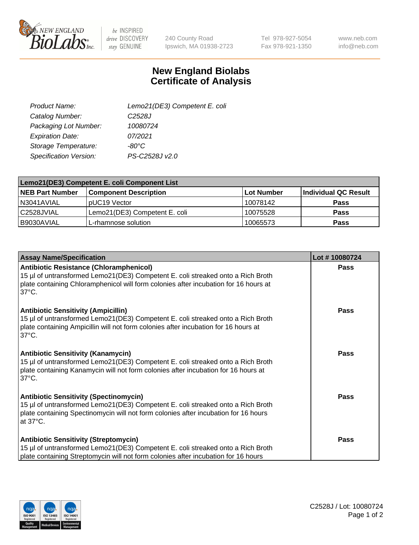

 $be$  INSPIRED drive DISCOVERY stay GENUINE

240 County Road Ipswich, MA 01938-2723 Tel 978-927-5054 Fax 978-921-1350

www.neb.com info@neb.com

## **New England Biolabs Certificate of Analysis**

| Lemo21(DE3) Competent E. coli |
|-------------------------------|
| C <sub>2528</sub> J           |
| 10080724                      |
| 07/2021                       |
| $-80^{\circ}$ C               |
| PS-C2528J v2.0                |
|                               |

| Lemo21(DE3) Competent E. coli Component List |                               |                   |                      |  |
|----------------------------------------------|-------------------------------|-------------------|----------------------|--|
| <b>NEB Part Number</b>                       | <b>Component Description</b>  | <b>Lot Number</b> | Individual QC Result |  |
| I N3041AVIAL                                 | IpUC19 Vector                 | 10078142          | Pass                 |  |
| C2528JVIAL                                   | Lemo21(DE3) Competent E. coli | 10075528          | Pass                 |  |
| B9030AVIAL                                   | L-rhamnose solution           | 10065573          | <b>Pass</b>          |  |

| <b>Assay Name/Specification</b>                                                                                                                                                                                                              | Lot #10080724 |
|----------------------------------------------------------------------------------------------------------------------------------------------------------------------------------------------------------------------------------------------|---------------|
| <b>Antibiotic Resistance (Chloramphenicol)</b><br>15 µl of untransformed Lemo21(DE3) Competent E. coli streaked onto a Rich Broth<br>plate containing Chloramphenicol will form colonies after incubation for 16 hours at<br>$37^{\circ}$ C. | <b>Pass</b>   |
| <b>Antibiotic Sensitivity (Ampicillin)</b><br>15 µl of untransformed Lemo21(DE3) Competent E. coli streaked onto a Rich Broth<br>plate containing Ampicillin will not form colonies after incubation for 16 hours at<br>$37^{\circ}$ C.      | Pass          |
| <b>Antibiotic Sensitivity (Kanamycin)</b><br>15 µl of untransformed Lemo21(DE3) Competent E. coli streaked onto a Rich Broth<br>plate containing Kanamycin will not form colonies after incubation for 16 hours at<br>$37^{\circ}$ C.        | Pass          |
| <b>Antibiotic Sensitivity (Spectinomycin)</b><br>15 µl of untransformed Lemo21(DE3) Competent E. coli streaked onto a Rich Broth<br>plate containing Spectinomycin will not form colonies after incubation for 16 hours<br>at 37°C.          | Pass          |
| <b>Antibiotic Sensitivity (Streptomycin)</b><br>15 µl of untransformed Lemo21(DE3) Competent E. coli streaked onto a Rich Broth<br>plate containing Streptomycin will not form colonies after incubation for 16 hours                        | <b>Pass</b>   |